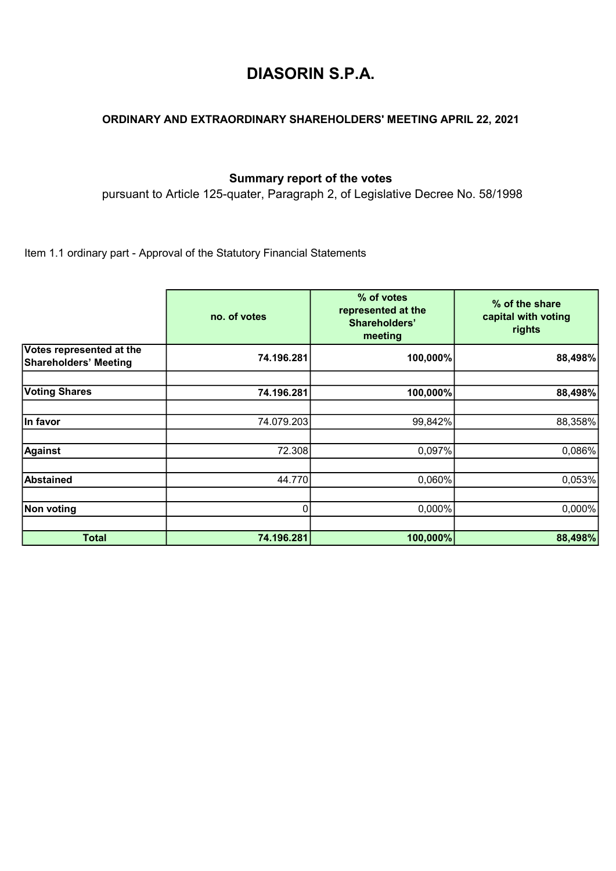## DIASORIN S.P.A.

## ORDINARY AND EXTRAORDINARY SHAREHOLDERS' MEETING APRIL 22, 2021

## Summary report of the votes

pursuant to Article 125-quater, Paragraph 2, of Legislative Decree No. 58/1998

Item 1.1 ordinary part - Approval of the Statutory Financial Statements

|                                                          | no. of votes | % of votes<br>represented at the<br>Shareholders'<br>meeting | % of the share<br>capital with voting<br>rights |
|----------------------------------------------------------|--------------|--------------------------------------------------------------|-------------------------------------------------|
| Votes represented at the<br><b>Shareholders' Meeting</b> | 74.196.281   | 100,000%                                                     | 88,498%                                         |
| <b>Voting Shares</b>                                     | 74.196.281   | 100,000%                                                     | 88,498%                                         |
| In favor                                                 | 74.079.203   | 99,842%                                                      | 88,358%                                         |
| <b>Against</b>                                           | 72.308       | 0,097%                                                       | 0,086%                                          |
| <b>Abstained</b>                                         | 44.770       | 0,060%                                                       | 0,053%                                          |
| Non voting                                               | 0            | 0,000%                                                       | 0,000%                                          |
| <b>Total</b>                                             | 74.196.281   | 100,000%                                                     | 88,498%                                         |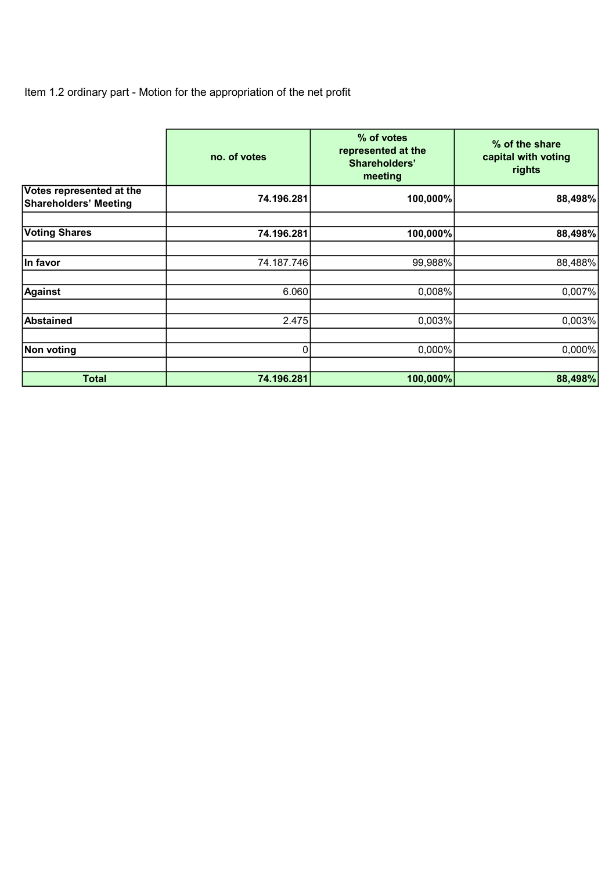Item 1.2 ordinary part - Motion for the appropriation of the net profit

|                                                          | no. of votes | % of votes<br>represented at the<br>Shareholders'<br>meeting | % of the share<br>capital with voting<br>rights |
|----------------------------------------------------------|--------------|--------------------------------------------------------------|-------------------------------------------------|
| Votes represented at the<br><b>Shareholders' Meeting</b> | 74.196.281   | 100,000%                                                     | 88,498%                                         |
| <b>Voting Shares</b>                                     | 74.196.281   | 100,000%                                                     | 88,498%                                         |
| In favor                                                 | 74.187.746   | 99,988%                                                      | 88,488%                                         |
| <b>Against</b>                                           | 6.060        | 0,008%                                                       | 0,007%                                          |
| <b>Abstained</b>                                         | 2.475        | 0,003%                                                       | 0,003%                                          |
| Non voting                                               | 0            | $0,000\%$                                                    | $0,000\%$                                       |
| <b>Total</b>                                             | 74.196.281   | 100,000%                                                     | 88,498%                                         |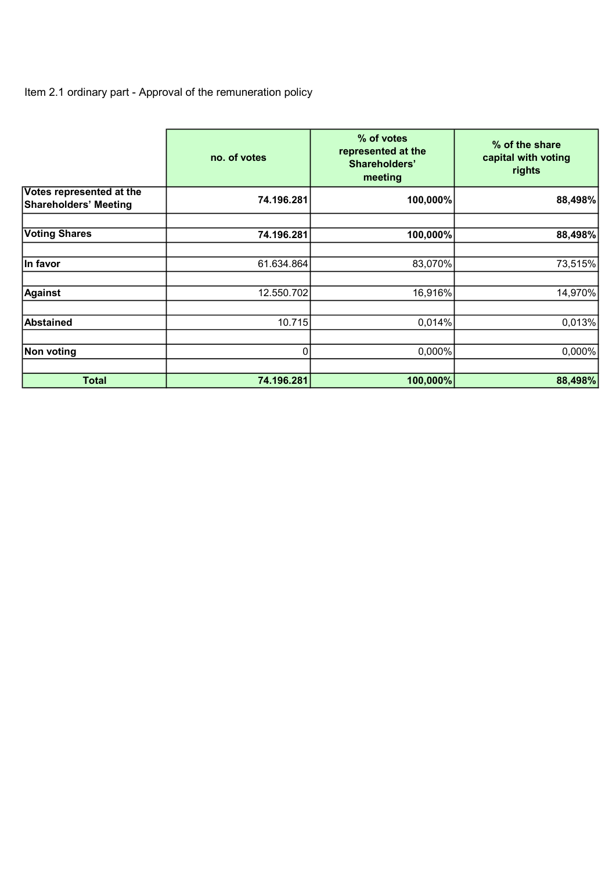Item 2.1 ordinary part - Approval of the remuneration policy

|                                                          | no. of votes | % of votes<br>represented at the<br>Shareholders'<br>meeting | % of the share<br>capital with voting<br>rights |
|----------------------------------------------------------|--------------|--------------------------------------------------------------|-------------------------------------------------|
| Votes represented at the<br><b>Shareholders' Meeting</b> | 74.196.281   | 100,000%                                                     | 88,498%                                         |
| <b>Voting Shares</b>                                     | 74.196.281   | 100,000%                                                     | 88,498%                                         |
| In favor                                                 | 61.634.864   | 83,070%                                                      | 73,515%                                         |
| <b>Against</b>                                           | 12.550.702   | 16,916%                                                      | 14,970%                                         |
| <b>Abstained</b>                                         | 10.715       | 0,014%                                                       | 0,013%                                          |
| <b>Non voting</b>                                        | 0            | 0,000%                                                       | 0,000%                                          |
| <b>Total</b>                                             | 74.196.281   | 100,000%                                                     | 88,498%                                         |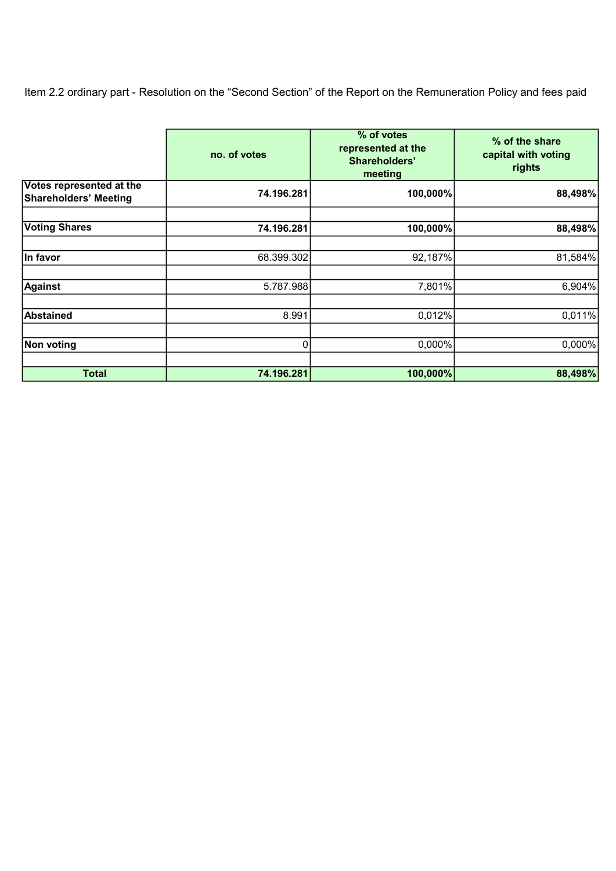Item 2.2 ordinary part - Resolution on the "Second Section" of the Report on the Remuneration Policy and fees paid

|                                                          | no. of votes | % of votes<br>represented at the<br>Shareholders'<br>meeting | % of the share<br>capital with voting<br>rights |
|----------------------------------------------------------|--------------|--------------------------------------------------------------|-------------------------------------------------|
| Votes represented at the<br><b>Shareholders' Meeting</b> | 74.196.281   | 100,000%                                                     | 88,498%                                         |
| <b>Voting Shares</b>                                     | 74.196.281   | 100,000%                                                     | 88,498%                                         |
| In favor                                                 | 68.399.302   | 92,187%                                                      | 81,584%                                         |
| <b>Against</b>                                           | 5.787.988    | 7,801%                                                       | 6,904%                                          |
| <b>Abstained</b>                                         | 8.991        | 0,012%                                                       | 0,011%                                          |
| Non voting                                               | 0            | $0,000\%$                                                    | $0,000\%$                                       |
| <b>Total</b>                                             | 74.196.281   | 100,000%                                                     | 88,498%                                         |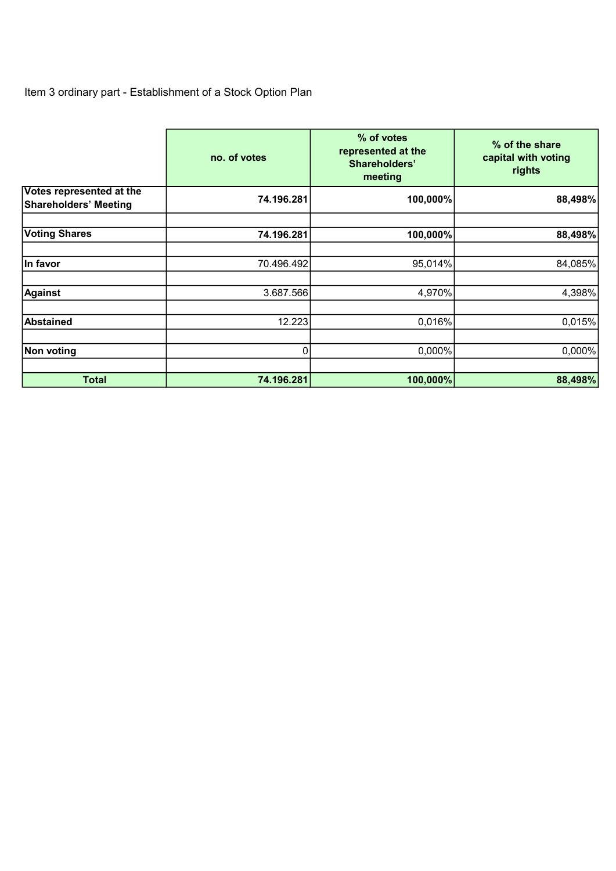## Item 3 ordinary part - Establishment of a Stock Option Plan

|                                                          | no. of votes | % of votes<br>represented at the<br>Shareholders'<br>meeting | % of the share<br>capital with voting<br>rights |
|----------------------------------------------------------|--------------|--------------------------------------------------------------|-------------------------------------------------|
| Votes represented at the<br><b>Shareholders' Meeting</b> | 74.196.281   | 100,000%                                                     | 88,498%                                         |
| <b>Voting Shares</b>                                     | 74.196.281   | 100,000%                                                     | 88,498%                                         |
| In favor                                                 | 70.496.492   | 95,014%                                                      | 84,085%                                         |
| <b>Against</b>                                           | 3.687.566    | 4,970%                                                       | 4,398%                                          |
| <b>Abstained</b>                                         | 12.223       | 0,016%                                                       | 0,015%                                          |
| Non voting                                               | $\Omega$     | 0,000%                                                       | 0,000%                                          |
| <b>Total</b>                                             | 74.196.281   | 100,000%                                                     | 88,498%                                         |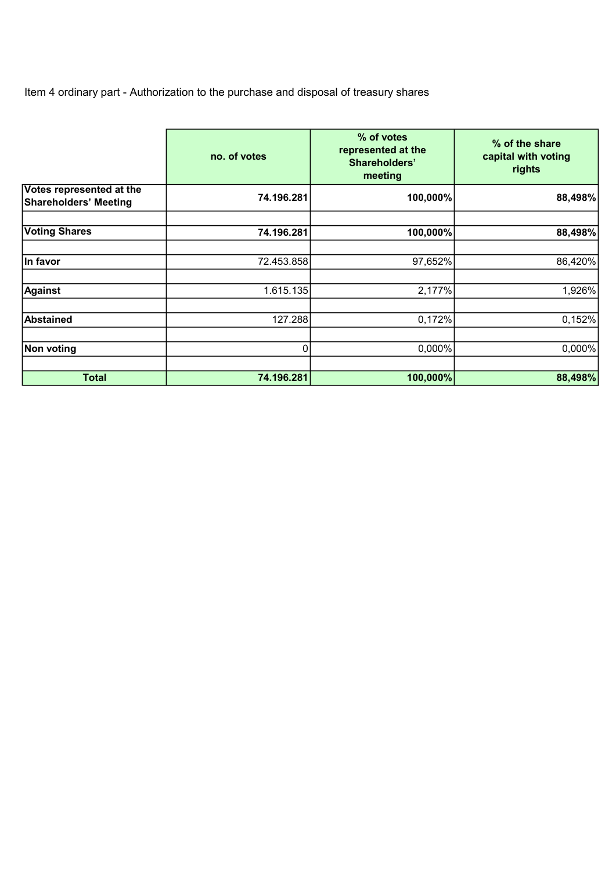Item 4 ordinary part - Authorization to the purchase and disposal of treasury shares

|                                                          | no. of votes | % of votes<br>represented at the<br>Shareholders'<br>meeting | % of the share<br>capital with voting<br>rights |
|----------------------------------------------------------|--------------|--------------------------------------------------------------|-------------------------------------------------|
| Votes represented at the<br><b>Shareholders' Meeting</b> | 74.196.281   | 100,000%                                                     | 88,498%                                         |
| <b>Voting Shares</b>                                     | 74.196.281   | 100,000%                                                     | 88,498%                                         |
| In favor                                                 | 72.453.858   | 97,652%                                                      | 86,420%                                         |
| <b>Against</b>                                           | 1.615.135    | 2,177%                                                       | 1,926%                                          |
| <b>Abstained</b>                                         | 127.288      | 0,172%                                                       | 0,152%                                          |
| Non voting                                               | $\Omega$     | 0,000%                                                       | $0,000\%$                                       |
| <b>Total</b>                                             | 74.196.281   | 100,000%                                                     | 88,498%                                         |